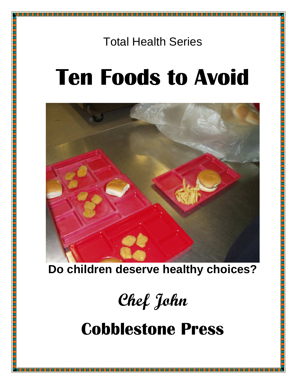# **Ten Foods to Avoid**



**Do children deserve healthy choices?** 

Chef John

Cobblestone Press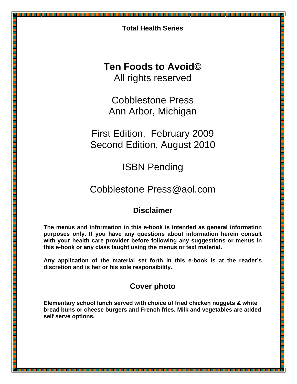### **Ten Foods to Avoid©**  All rights reserved

Cobblestone Press Ann Arbor, Michigan

First Edition, February 2009 Second Edition, August 2010

ISBN Pending

# Cobblestone Press@aol.com

### **Disclaimer**

**The menus and information in this e-book is intended as general information purposes only. If you have any questions about information herein consult with your health care provider before following any suggestions or menus in this e-book or any class taught using the menus or text material.** 

**Any application of the material set forth in this e-book is at the reader's discretion and is her or his sole responsibility.** 

### **Cover photo**

**Elementary school lunch served with choice of fried chicken nuggets & white bread buns or cheese burgers and French fries. Milk and vegetables are added self serve options.**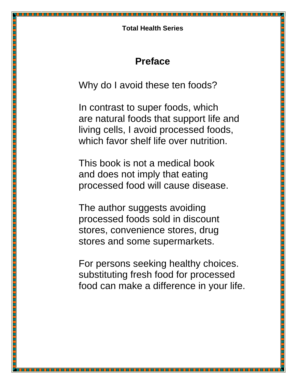# **Preface**

Why do I avoid these ten foods?

In contrast to super foods, which are natural foods that support life and living cells, I avoid processed foods, which favor shelf life over nutrition.

This book is not a medical book and does not imply that eating processed food will cause disease.

The author suggests avoiding processed foods sold in discount stores, convenience stores, drug stores and some supermarkets.

For persons seeking healthy choices. substituting fresh food for processed food can make a difference in your life.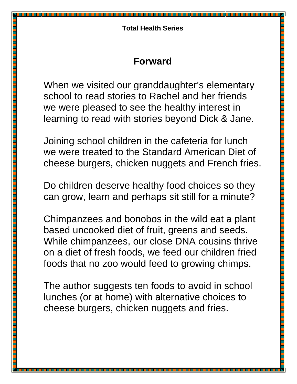# **Forward**

When we visited our granddaughter's elementary school to read stories to Rachel and her friends we were pleased to see the healthy interest in learning to read with stories beyond Dick & Jane.

Joining school children in the cafeteria for lunch we were treated to the Standard American Diet of cheese burgers, chicken nuggets and French fries.

Do children deserve healthy food choices so they can grow, learn and perhaps sit still for a minute?

Chimpanzees and bonobos in the wild eat a plant based uncooked diet of fruit, greens and seeds. While chimpanzees, our close DNA cousins thrive on a diet of fresh foods, we feed our children fried foods that no zoo would feed to growing chimps.

The author suggests ten foods to avoid in school lunches (or at home) with alternative choices to cheese burgers, chicken nuggets and fries.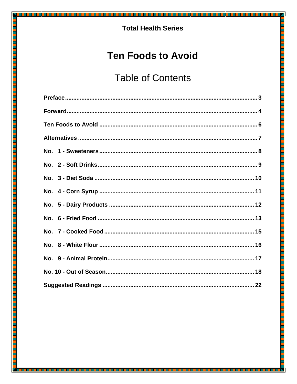<u> 1989 - Andrew Maria Ba</u>

# **Ten Foods to Avoid**

# **Table of Contents**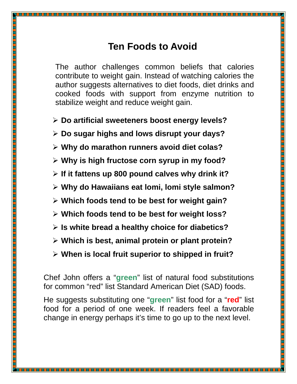# **Ten Foods to Avoid**

The author challenges common beliefs that calories contribute to weight gain. Instead of watching calories the author suggests alternatives to diet foods, diet drinks and cooked foods with support from enzyme nutrition to stabilize weight and reduce weight gain.

- **Do artificial sweeteners boost energy levels?**
- **Do sugar highs and lows disrupt your days?**
- **Why do marathon runners avoid diet colas?**
- **Why is high fructose corn syrup in my food?**
- **If it fattens up 800 pound calves why drink it?**
- **Why do Hawaiians eat lomi, lomi style salmon?**
- **Which foods tend to be best for weight gain?**

<u> 1989 - Personal Amerikaan September 1989 - Personal Amerikaan September 1989 - Personal Amerikaan September 1</u>

- **Which foods tend to be best for weight loss?**
- **Is white bread a healthy choice for diabetics?**
- **Which is best, animal protein or plant protein?**
- **When is local fruit superior to shipped in fruit?**

Chef John offers a "**green**" list of natural food substitutions for common "red" list Standard American Diet (SAD) foods.

He suggests substituting one "**green**" list food for a "**red**" list food for a period of one week. If readers feel a favorable change in energy perhaps it's time to go up to the next level.

-------------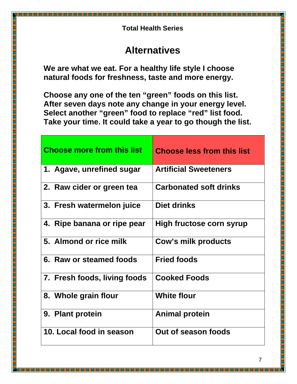# **Alternatives**

**We are what we eat. For a healthy life style I choose natural foods for freshness, taste and more energy.** 

**Choose any one of the ten "green" foods on this list. After seven days note any change in your energy level. Select another "green" food to replace "red" list food. Take your time. It could take a year to go though the list.** 

| <b>Choose more from this list</b> | <b>Choose less from this list</b> |
|-----------------------------------|-----------------------------------|
| 1. Agave, unrefined sugar         | <b>Artificial Sweeteners</b>      |
| 2. Raw cider or green tea         | <b>Carbonated soft drinks</b>     |
| 3. Fresh watermelon juice         | Diet drinks                       |
| 4. Ripe banana or ripe pear       | High fructose corn syrup          |
| 5. Almond or rice milk            | Cow's milk products               |
| 6. Raw or steamed foods           | <b>Fried foods</b>                |
| 7. Fresh foods, living foods      | <b>Cooked Foods</b>               |
| 8. Whole grain flour              | <b>White flour</b>                |
| 9. Plant protein                  | <b>Animal protein</b>             |
| 10. Local food in season          | Out of season foods               |

n 1956 yang bermula pada hasil dan ke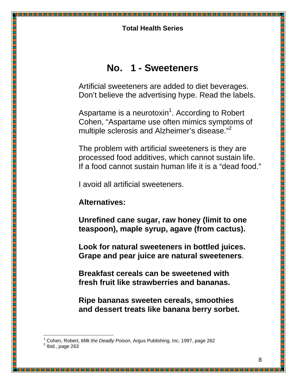### **No. 1 - Sweeteners**

Artificial sweeteners are added to diet beverages. Don't believe the advertising hype. Read the labels.

Aspartame is a neurotoxin<sup>1</sup>. According to Robert Cohen, "Aspartame use often mimics symptoms of multiple sclerosis and Alzheimer's disease."<sup>2</sup>

The problem with artificial sweeteners is they are processed food additives, which cannot sustain life. If a food cannot sustain human life it is a "dead food."

I avoid all artificial sweeteners.

### **Alternatives:**

**Unrefined cane sugar, raw honey (limit to one teaspoon), maple syrup, agave (from cactus).** 

**Look for natural sweeteners in bottled juices. Grape and pear juice are natural sweeteners**.

**Breakfast cereals can be sweetened with fresh fruit like strawberries and bananas.** 

**Ripe bananas sweeten cereals, smoothies and dessert treats like banana berry sorbet.**

l

<sup>1</sup> Cohen, Robert, Milk the Deadly Poison, Argus Publishing, Inc. 1997, page 262 2

Ibid., page 263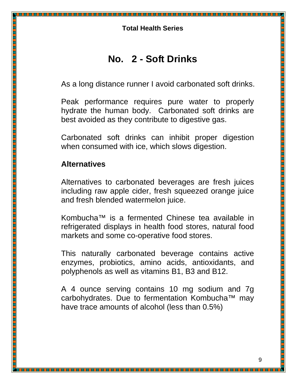# **No. 2 - Soft Drinks**

As a long distance runner I avoid carbonated soft drinks.

Peak performance requires pure water to properly hydrate the human body. Carbonated soft drinks are best avoided as they contribute to digestive gas.

Carbonated soft drinks can inhibit proper digestion when consumed with ice, which slows digestion.

### **Alternatives**

Alternatives to carbonated beverages are fresh juices including raw apple cider, fresh squeezed orange juice and fresh blended watermelon juice.

Kombucha™ is a fermented Chinese tea available in refrigerated displays in health food stores, natural food markets and some co-operative food stores.

This naturally carbonated beverage contains active enzymes, probiotics, amino acids, antioxidants, and polyphenols as well as vitamins B1, B3 and B12.

A 4 ounce serving contains 10 mg sodium and 7g carbohydrates. Due to fermentation Kombucha™ may have trace amounts of alcohol (less than 0.5%)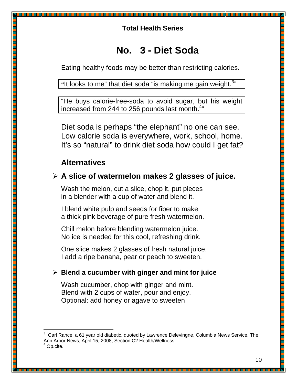### **No. 3 - Diet Soda**

Eating healthy foods may be better than restricting calories.

"It looks to me" that diet soda "is making me gain weight.<sup>3</sup>"

"He buys calorie-free-soda to avoid sugar, but his weight increased from 244 to 256 pounds last month. $4"$ 

Diet soda is perhaps "the elephant" no one can see. Low calorie soda is everywhere, work, school, home. It's so "natural" to drink diet soda how could I get fat?

### **Alternatives**

l

<u> 1999 - Jacques Albert III, Amerikaansk filosofi (d. 1999)</u>

### **A slice of watermelon makes 2 glasses of juice.**

Wash the melon, cut a slice, chop it, put pieces in a blender with a cup of water and blend it.

I blend white pulp and seeds for fiber to make a thick pink beverage of pure fresh watermelon.

Chill melon before blending watermelon juice. No ice is needed for this cool, refreshing drink.

One slice makes 2 glasses of fresh natural juice. I add a ripe banana, pear or peach to sweeten.

### **Blend a cucumber with ginger and mint for juice**

Wash cucumber, chop with ginger and mint. Blend with 2 cups of water, pour and enjoy. Optional: add honey or agave to sweeten

 $3$  Carl Rance, a 61 year old diabetic, quoted by Lawrence Delevingne, Columbia News Service, The Ann Arbor News, April 15, 2008, Section C2 Health/Wellness<br><sup>4</sup> On site Op.cite.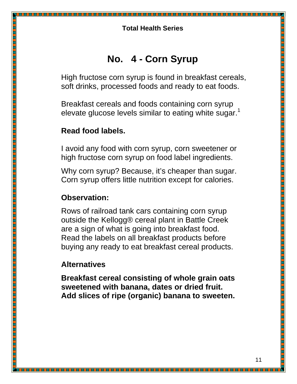# **No. 4 - Corn Syrup**

High fructose corn syrup is found in breakfast cereals, soft drinks, processed foods and ready to eat foods.

Breakfast cereals and foods containing corn syrup elevate glucose levels similar to eating white sugar.<sup>1</sup>

### **Read food labels.**

I avoid any food with corn syrup, corn sweetener or high fructose corn syrup on food label ingredients.

Why corn syrup? Because, it's cheaper than sugar. Corn syrup offers little nutrition except for calories.

### **Observation:**

Rows of railroad tank cars containing corn syrup outside the Kellogg® cereal plant in Battle Creek are a sign of what is going into breakfast food. Read the labels on all breakfast products before buying any ready to eat breakfast cereal products.

### **Alternatives**

**Breakfast cereal consisting of whole grain oats sweetened with banana, dates or dried fruit. Add slices of ripe (organic) banana to sweeten.**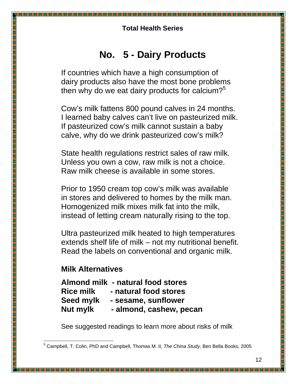# **No. 5 - Dairy Products**

If countries which have a high consumption of dairy products also have the most bone problems then why do we eat dairy products for calcium? $5^{\circ}$ 

Cow's milk fattens 800 pound calves in 24 months. I learned baby calves can't live on pasteurized milk. If pasteurized cow's milk cannot sustain a baby calve, why do we drink pasteurized cow's milk?

State health regulations restrict sales of raw milk. Unless you own a cow, raw milk is not a choice. Raw milk cheese is available in some stores.

Prior to 1950 cream top cow's milk was available in stores and delivered to homes by the milk man. Homogenized milk mixes milk fat into the milk, instead of letting cream naturally rising to the top.

Ultra pasteurized milk heated to high temperatures extends shelf life of milk – not my nutritional benefit. Read the labels on conventional and organic milk.

### **Milk Alternatives**

l

<u> 1999 - Jacques Albert III, Amerikaansk filosofi (d. 1999)</u>

**Almond milk - natural food stores Rice milk - natural food stores Seed mylk - sesame, sunflower Nut mylk - almond, cashew, pecan** 

See suggested readings to learn more about risks of milk

<sup>&</sup>lt;sup>5</sup> Campbell, T. Colin, PhD and Campbell, Thomas M. II, The China Study, Ben Bella Books, 2005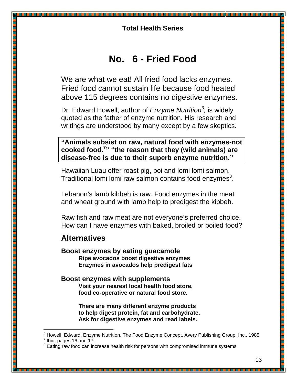### **No. 6 - Fried Food**

We are what we eat! All fried food lacks enzymes. Fried food cannot sustain life because food heated above 115 degrees contains no digestive enzymes.

Dr. Edward Howell, author of *Enzyme Nutrition<sup>6</sup>,* is widely quoted as the father of enzyme nutrition. His research and writings are understood by many except by a few skeptics.

**"Animals subsist on raw, natural food with enzymes-not cooked food.<sup>7</sup> " "the reason that they (wild animals) are disease-free is due to their superb enzyme nutrition."** 

Hawaiian Luau offer roast pig, poi and lomi lomi salmon. Traditional lomi lomi raw salmon contains food enzymes<sup>8</sup>.

Lebanon's lamb kibbeh is raw. Food enzymes in the meat and wheat ground with lamb help to predigest the kibbeh.

Raw fish and raw meat are not everyone's preferred choice. How can I have enzymes with baked, broiled or boiled food?

### **Alternatives**

l

 **Boost enzymes by eating guacamole Ripe avocados boost digestive enzymes Enzymes in avocados help predigest fats** 

#### **Boost enzymes with supplements Visit your nearest local health food store, food co-operative or natural food store.**

 **There are many different enzyme products to help digest protein, fat and carbohydrate. Ask for digestive enzymes and read labels.** 

<sup>&</sup>lt;sup>6</sup> Howell, Edward, Enzyme Nutrition, The Food Enzyme Concept, Avery Publishing Group, Inc., 1985  $^7$  Ibid. pages 16 and 17.

Eating raw food can increase health risk for persons with compromised immune systems.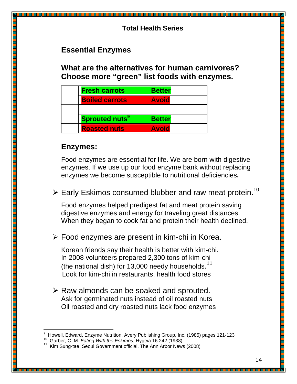### **Essential Enzymes**

**What are the alternatives for human carnivores? Choose more "green" list foods with enzymes.** 

| <b>Fresh carrots</b>             | <b>Better</b> |  |
|----------------------------------|---------------|--|
| <b>Boiled carrots</b>            | <b>Avoid</b>  |  |
|                                  |               |  |
| <b>Sprouted nuts<sup>9</sup></b> | <b>Better</b> |  |
| <b>Roasted nuts</b>              | <b>Avoid</b>  |  |

### **Enzymes:**

Food enzymes are essential for life. We are born with digestive enzymes. If we use up our food enzyme bank without replacing enzymes we become susceptible to nutritional deficiencies**.**

 $\triangleright$  Early Eskimos consumed blubber and raw meat protein.<sup>10</sup>

Food enzymes helped predigest fat and meat protein saving digestive enzymes and energy for traveling great distances. When they began to cook fat and protein their health declined.

Food enzymes are present in kim-chi in Korea.

Korean friends say their health is better with kim-chi. In 2008 volunteers prepared 2,300 tons of kim-chi (the national dish) for 13,000 needy households.<sup>11</sup> Look for kim-chi in restaurants, health food stores

 $\triangleright$  Raw almonds can be soaked and sprouted. Ask for germinated nuts instead of oil roasted nuts Oil roasted and dry roasted nuts lack food enzymes

<u> Katalog a katalog a</u>

l <sup>9</sup> Howell, Edward, Enzyme Nutrition, Avery Publishing Group, Inc, (1985) pages 121-123

<sup>&</sup>lt;sup>10</sup> Garber, C. M. Eating With the Eskimos, Hygeia 16:242 (1938)

Kim Sung-tae, Seoul Government official, The Ann Arbor News (2008)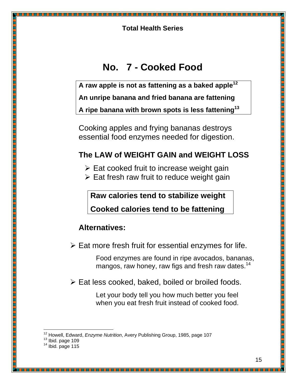# **No. 7 - Cooked Food**

**A raw apple is not as fattening as a baked apple<sup>12</sup>**

**An unripe banana and fried banana are fattening** 

**A ripe banana with brown spots is less fattening<sup>13</sup>**

Cooking apples and frying bananas destroys essential food enzymes needed for digestion.

### **The LAW of WEIGHT GAIN and WEIGHT LOSS**

- $\triangleright$  Eat cooked fruit to increase weight gain
- $\triangleright$  Eat fresh raw fruit to reduce weight gain

**Raw calories tend to stabilize weight** 

**Cooked calories tend to be fattening**

### **Alternatives:**

 $\triangleright$  Eat more fresh fruit for essential enzymes for life.

 Food enzymes are found in ripe avocados, bananas, mangos, raw honey, raw figs and fresh raw dates.<sup>14</sup>

<u> 1989 - Jan Barnett, martin b</u>

 $\triangleright$  Eat less cooked, baked, boiled or broiled foods.

 Let your body tell you how much better you feel when you eat fresh fruit instead of cooked food.

<u> 1999 - Johann Harry Harry Harry Harry Harry Harry Harry Harry Harry Harry Harry Harry Harry Harry Harry Harry</u>

l  $12$  Howell, Edward, Enzyme Nutrition, Avery Publishing Group, 1985, page 107

 $13$  Ibid. page 109

 $14$  Ibid. page 115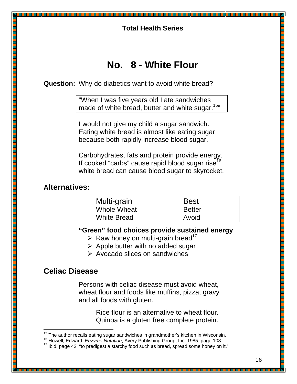# **No. 8 - White Flour**

**Question:** Why do diabetics want to avoid white bread?

"When I was five years old I ate sandwiches made of white bread, butter and white sugar.<sup>15</sup><sup>15</sup>

 I would not give my child a sugar sandwich. Eating white bread is almost like eating sugar because both rapidly increase blood sugar.

 Carbohydrates, fats and protein provide energy. If cooked "carbs" cause rapid blood sugar rise $<sup>1</sup>$ </sup> white bread can cause blood sugar to skyrocket.

### **Alternatives:**

| Multi-grain        | <b>Best</b>   |
|--------------------|---------------|
| Whole Wheat        | <b>Better</b> |
| <b>White Bread</b> | Avoid         |

**"Green" food choices provide sustained energy** 

- $\triangleright$  Raw honey on multi-grain bread<sup>17</sup>
- $\triangleright$  Apple butter with no added sugar

 $\triangleright$  Avocado slices on sandwiches

### **Celiac Disease**

 Persons with celiac disease must avoid wheat, wheat flour and foods like muffins, pizza, gravy and all foods with gluten.

> Rice flour is an alternative to wheat flour. Quinoa is a gluten free complete protein.

l <sup>15</sup> The author recalls eating sugar sandwiches in grandmother's kitchen in Wisconsin.

<sup>&</sup>lt;sup>16</sup> Howell, Edward, *Enzyme Nutrition*, Avery Publishing Group, Inc. 1985, page 108

 $17$  Ibid. page 42 "to predigest a starchy food such as bread, spread some honey on it."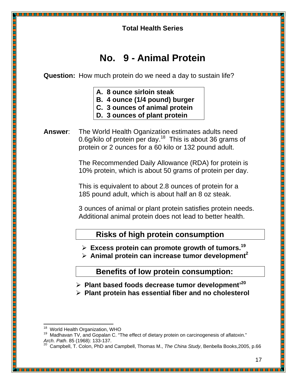# **No. 9 - Animal Protein**

**Question:** How much protein do we need a day to sustain life?

- **A. 8 ounce sirloin steak**
- **B. 4 ounce (1/4 pound) burger**
- **C. 3 ounces of animal protein**
- **D. 3 ounces of plant protein**
- **Answer**: The World Health Oganization estimates adults need 0.6g/kilo of protein per day.<sup>18</sup> This is about 36 grams of protein or 2 ounces for a 60 kilo or 132 pound adult.

The Recommended Daily Allowance (RDA) for protein is 10% protein, which is about 50 grams of protein per day.

This is equivalent to about 2.8 ounces of protein for a 185 pound adult, which is about half an 8 oz steak.

3 ounces of animal or plant protein satisfies protein needs. Additional animal protein does not lead to better health.

### **Risks of high protein consumption**

**Excess protein can promote growth of tumors.<sup>19</sup>** 

**Animal protein can increase tumor development<sup>2</sup>** 

 **Benefits of low protein consumption:** 

- **Plant based foods decrease tumor development'<sup>20</sup>**
- **Plant protein has essential fiber and no cholesterol**

l <sup>18</sup> World Health Organization, WHO

<sup>&</sup>lt;sup>19</sup> Madhavan TV, and Gopalan C. "The effect of dietary protein on carcinogenesis of aflatoxin." Arch. Path. 85 (1968): 133-137.<br><sup>20</sup> Curriculum –

<sup>20</sup> Campbell, T. Colon, PhD and Campbell, Thomas M., The China Study, Benbella Books,2005, p.66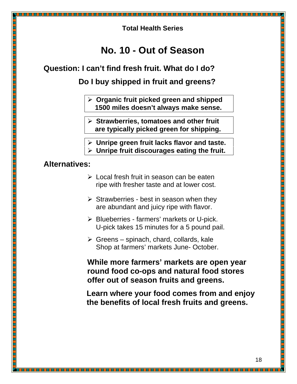### **No. 10 - Out of Season**

#### **Question: I can't find fresh fruit. What do I do?**

 **Do I buy shipped in fruit and greens?** 

- **Organic fruit picked green and shipped 1500 miles doesn't always make sense.**
- **Strawberries, tomatoes and other fruit are typically picked green for shipping.**
- **Unripe green fruit lacks flavor and taste.**
- **Unripe fruit discourages eating the fruit.**

### **Alternatives:**

- $\triangleright$  Local fresh fruit in season can be eaten ripe with fresher taste and at lower cost.
- $\triangleright$  Strawberries best in season when they are abundant and juicy ripe with flavor.
- $\triangleright$  Blueberries farmers' markets or U-pick. U-pick takes 15 minutes for a 5 pound pail.
- $\triangleright$  Greens spinach, chard, collards, kale Shop at farmers' markets June- October.

**While more farmers' markets are open year round food co-ops and natural food stores offer out of season fruits and greens.** 

 **Learn where your food comes from and enjoy the benefits of local fresh fruits and greens.**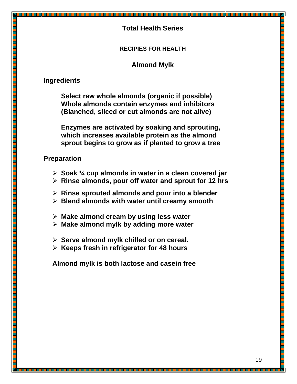#### **RECIPIES FOR HEALTH**

#### **Almond Mylk**

### **Ingredients**

 **Select raw whole almonds (organic if possible) Whole almonds contain enzymes and inhibitors (Blanched, sliced or cut almonds are not alive)** 

 **Enzymes are activated by soaking and sprouting, which increases available protein as the almond sprout begins to grow as if planted to grow a tree**

#### **Preparation**

- **Soak ¼ cup almonds in water in a clean covered jar**
- **Rinse almonds, pour off water and sprout for 12 hrs**

- **Rinse sprouted almonds and pour into a blender**
- **Blend almonds with water until creamy smooth**
- **Make almond cream by using less water**
- **Make almond mylk by adding more water**
- **Serve almond mylk chilled or on cereal.**
- **Keeps fresh in refrigerator for 48 hours**

**Almond mylk is both lactose and casein free**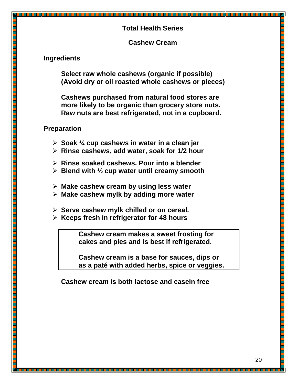#### **Cashew Cream**

#### **Ingredients**

 **Select raw whole cashews (organic if possible) (Avoid dry or oil roasted whole cashews or pieces)**

 **Cashews purchased from natural food stores are more likely to be organic than grocery store nuts. Raw nuts are best refrigerated, not in a cupboard.** 

#### **Preparation**

- **Soak ¼ cup cashews in water in a clean jar**
- **Rinse cashews, add water, soak for 1/2 hour**
- **Rinse soaked cashews. Pour into a blender**
- **Blend with ½ cup water until creamy smooth**
- **Make cashew cream by using less water**
- **Make cashew mylk by adding more water**
- **Serve cashew mylk chilled or on cereal.**
- **Keeps fresh in refrigerator for 48 hours**

 **Cashew cream makes a sweet frosting for cakes and pies and is best if refrigerated.** 

 **Cashew cream is a base for sauces, dips or as a paté with added herbs, spice or veggies.** 

 **Cashew cream is both lactose and casein free**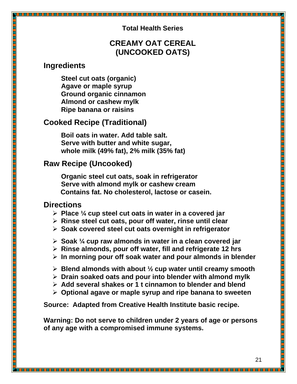### **CREAMY OAT CEREAL (UNCOOKED OATS)**

### **Ingredients**

**Steel cut oats (organic) Agave or maple syrup Ground organic cinnamon Almond or cashew mylk Ripe banana or raisins** 

### **Cooked Recipe (Traditional)**

**Boil oats in water. Add table salt. Serve with butter and white sugar, whole milk (49% fat), 2% milk (35% fat)** 

### **Raw Recipe (Uncooked)**

**Organic steel cut oats, soak in refrigerator Serve with almond mylk or cashew cream Contains fat. No cholesterol, lactose or casein.** 

### **Directions**

- **Place ¼ cup steel cut oats in water in a covered jar**
- **Rinse steel cut oats, pour off water, rinse until clear**
- **Soak covered steel cut oats overnight in refrigerator**
- **Soak ¼ cup raw almonds in water in a clean covered jar**
- **Rinse almonds, pour off water, fill and refrigerate 12 hrs**
- **In morning pour off soak water and pour almonds in blender**
- **Blend almonds with about ½ cup water until creamy smooth**
- **Drain soaked oats and pour into blender with almond mylk**
- **Add several shakes or 1 t cinnamon to blender and blend**
- **Optional agave or maple syrup and ripe banana to sweeten**

**Source: Adapted from Creative Health Institute basic recipe.** 

**Warning: Do not serve to children under 2 years of age or persons of any age with a compromised immune systems.**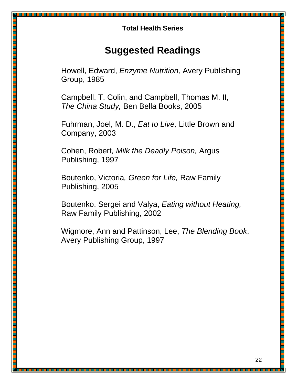# **Suggested Readings**

Howell, Edward, Enzyme Nutrition, Avery Publishing Group, 1985

Campbell, T. Colin, and Campbell, Thomas M. II, The China Study, Ben Bella Books, 2005

Fuhrman, Joel, M. D., Eat to Live, Little Brown and Company, 2003

Cohen, Robert, Milk the Deadly Poison, Argus Publishing, 1997

Boutenko, Victoria, Green for Life, Raw Family Publishing, 2005

. . . . . . . . . . . . . . . . .

<u> 1999 - Jacques Albert III, Amerikaansk filosofi (f. 1999)</u>

Boutenko, Sergei and Valya, Eating without Heating, Raw Family Publishing, 2002

Wigmore, Ann and Pattinson, Lee, The Blending Book, Avery Publishing Group, 1997

<u> 1989 - Anii 1989 - Anii 19</u>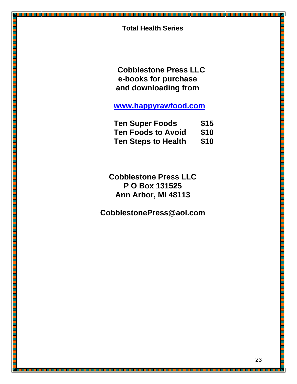h an Saolaichean agus an Saolaiche

 **Cobblestone Press LLC e-books for purchase and downloading from** 

**www.happyrawfood.com**

| <b>Ten Super Foods</b>     | \$15 |
|----------------------------|------|
| <b>Ten Foods to Avoid</b>  | \$10 |
| <b>Ten Steps to Health</b> | \$10 |

**Cobblestone Press LLC P O Box 131525 Ann Arbor, MI 48113** 

**CobblestonePress@aol.com** 

<u> Karena katika matema</u>